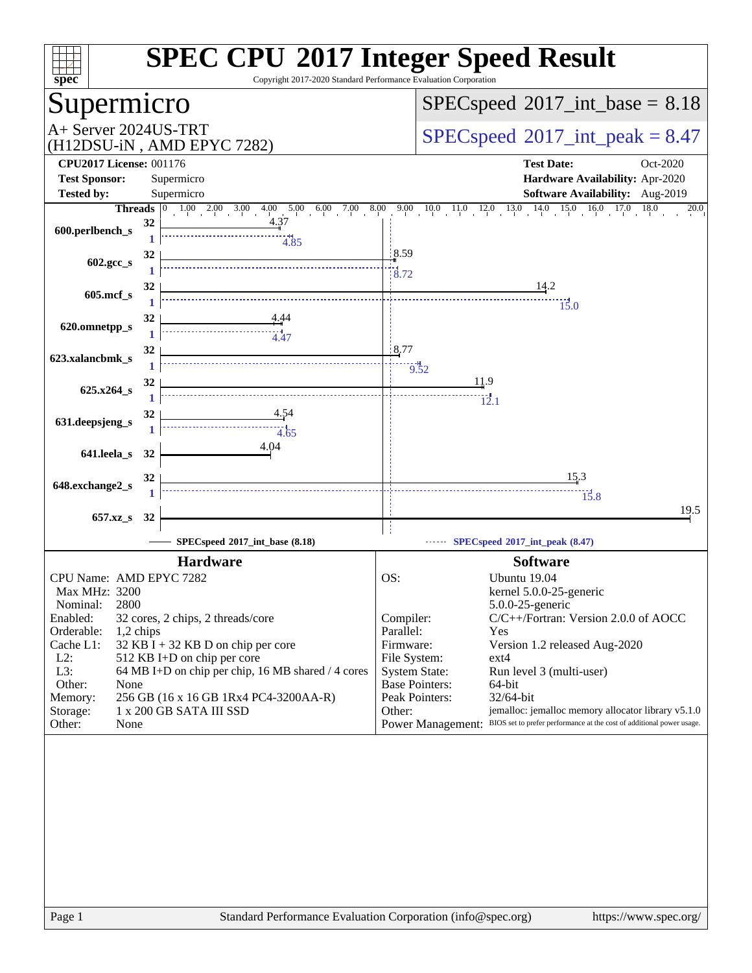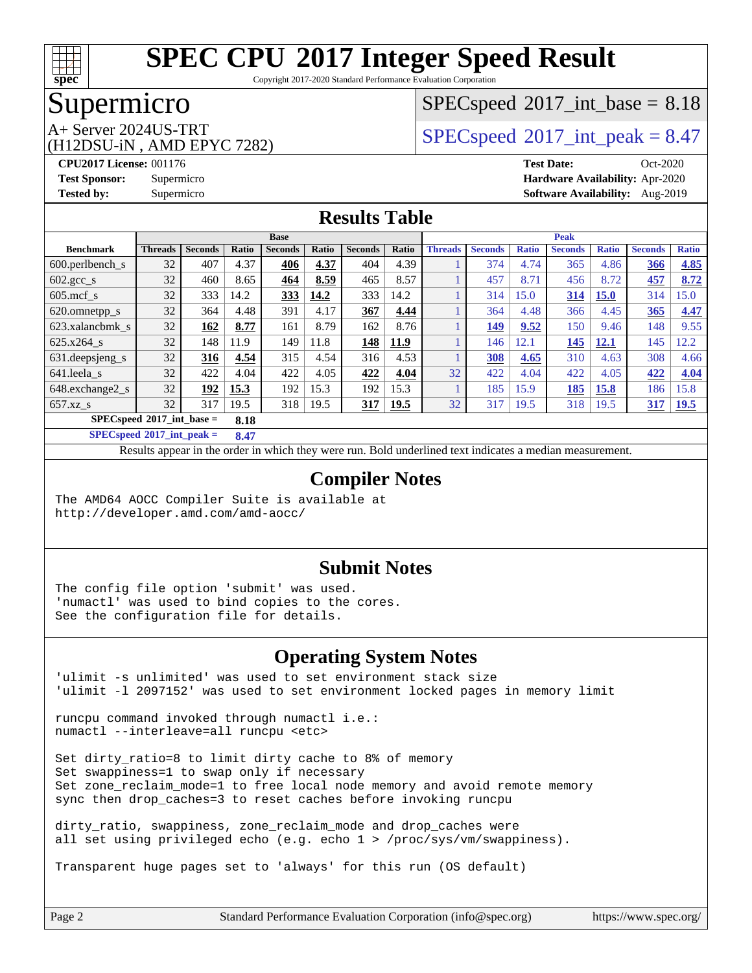

Copyright 2017-2020 Standard Performance Evaluation Corporation

### Supermicro

### $SPECspeed^{\circledcirc}2017\_int\_base = 8.18$  $SPECspeed^{\circledcirc}2017\_int\_base = 8.18$

(H12DSU-iN , AMD EPYC 7282)

 $A+$  Server 2024US-TRT  $SPEC speed@2017$  int peak = 8.47

**[CPU2017 License:](http://www.spec.org/auto/cpu2017/Docs/result-fields.html#CPU2017License)** 001176 **[Test Date:](http://www.spec.org/auto/cpu2017/Docs/result-fields.html#TestDate)** Oct-2020 **[Test Sponsor:](http://www.spec.org/auto/cpu2017/Docs/result-fields.html#TestSponsor)** Supermicro **[Hardware Availability:](http://www.spec.org/auto/cpu2017/Docs/result-fields.html#HardwareAvailability)** Apr-2020 **[Tested by:](http://www.spec.org/auto/cpu2017/Docs/result-fields.html#Testedby)** Supermicro **[Software Availability:](http://www.spec.org/auto/cpu2017/Docs/result-fields.html#SoftwareAvailability)** Aug-2019

#### **[Results Table](http://www.spec.org/auto/cpu2017/Docs/result-fields.html#ResultsTable)**

|                               | <b>Base</b>    |                |       |                |       |                |             | <b>Peak</b>    |                |              |                |              |                |              |
|-------------------------------|----------------|----------------|-------|----------------|-------|----------------|-------------|----------------|----------------|--------------|----------------|--------------|----------------|--------------|
| <b>Benchmark</b>              | <b>Threads</b> | <b>Seconds</b> | Ratio | <b>Seconds</b> | Ratio | <b>Seconds</b> | Ratio       | <b>Threads</b> | <b>Seconds</b> | <b>Ratio</b> | <b>Seconds</b> | <b>Ratio</b> | <b>Seconds</b> | <b>Ratio</b> |
| $600.$ perlbench $\mathsf{S}$ | 32             | 407            | 4.37  | 406            | 4.37  | 404            | 4.39        |                | 374            | 4.74         | 365            | 4.86         | 366            | 4.85         |
| $602.\text{gcc s}$            | 32             | 460            | 8.65  | 464            | 8.59  | 465            | 8.57        |                | 457            | 8.71         | 456            | 8.72         | 457            | 8.72         |
| $605$ .mcf s                  | 32             | 333            | 14.2  | 333            | 14.2  | 333            | 14.2        |                | 314            | 15.0         | 314            | <b>15.0</b>  | 314            | 15.0         |
| 620.omnetpp_s                 | 32             | 364            | 4.48  | 391            | 4.17  | 367            | 4.44        |                | 364            | 4.48         | 366            | 4.45         | 365            | 4.47         |
| 623.xalancbmk s               | 32             | 162            | 8.77  | 161            | 8.79  | 162            | 8.76        |                | 149            | 9.52         | 150            | 9.46         | 148            | 9.55         |
| 625.x264 s                    | 32             | 148            | 11.9  | 149            | 11.8  | 148            | <b>11.9</b> |                | 146            | 12.1         | 145            | 12.1         | 145            | 12.2         |
| 631.deepsjeng_s               | 32             | 316            | 4.54  | 315            | 4.54  | 316            | 4.53        |                | 308            | 4.65         | 310            | 4.63         | 308            | 4.66         |
| 641.leela s                   | 32             | 422            | 4.04  | 422            | 4.05  | 422            | 4.04        | 32             | 422            | 4.04         | 422            | 4.05         | 422            | 4.04         |
| 648.exchange2_s               | 32             | 192            | 15.3  | 192            | 15.3  | 192            | 15.3        |                | 185            | 15.9         | 185            | 15.8         | 186            | 15.8         |
| $657.xz$ s                    | 32             | 317            | 19.5  | 318            | 19.5  | <u>317</u>     | 19.5        | 32             | 317            | 19.5         | 318            | 19.5         | 317            | 19.5         |
| $SPECspeed*2017$ int base =   |                |                | 8.18  |                |       |                |             |                |                |              |                |              |                |              |

**[SPECspeed](http://www.spec.org/auto/cpu2017/Docs/result-fields.html#SPECspeed2017intpeak)[2017\\_int\\_peak =](http://www.spec.org/auto/cpu2017/Docs/result-fields.html#SPECspeed2017intpeak) 8.47**

Results appear in the [order in which they were run.](http://www.spec.org/auto/cpu2017/Docs/result-fields.html#RunOrder) Bold underlined text [indicates a median measurement](http://www.spec.org/auto/cpu2017/Docs/result-fields.html#Median).

#### **[Compiler Notes](http://www.spec.org/auto/cpu2017/Docs/result-fields.html#CompilerNotes)**

The AMD64 AOCC Compiler Suite is available at <http://developer.amd.com/amd-aocc/>

#### **[Submit Notes](http://www.spec.org/auto/cpu2017/Docs/result-fields.html#SubmitNotes)**

The config file option 'submit' was used. 'numactl' was used to bind copies to the cores. See the configuration file for details.

#### **[Operating System Notes](http://www.spec.org/auto/cpu2017/Docs/result-fields.html#OperatingSystemNotes)**

'ulimit -s unlimited' was used to set environment stack size 'ulimit -l 2097152' was used to set environment locked pages in memory limit

runcpu command invoked through numactl i.e.: numactl --interleave=all runcpu <etc>

Set dirty\_ratio=8 to limit dirty cache to 8% of memory Set swappiness=1 to swap only if necessary Set zone\_reclaim\_mode=1 to free local node memory and avoid remote memory sync then drop\_caches=3 to reset caches before invoking runcpu

dirty ratio, swappiness, zone reclaim mode and drop caches were all set using privileged echo (e.g. echo 1 > /proc/sys/vm/swappiness).

Transparent huge pages set to 'always' for this run (OS default)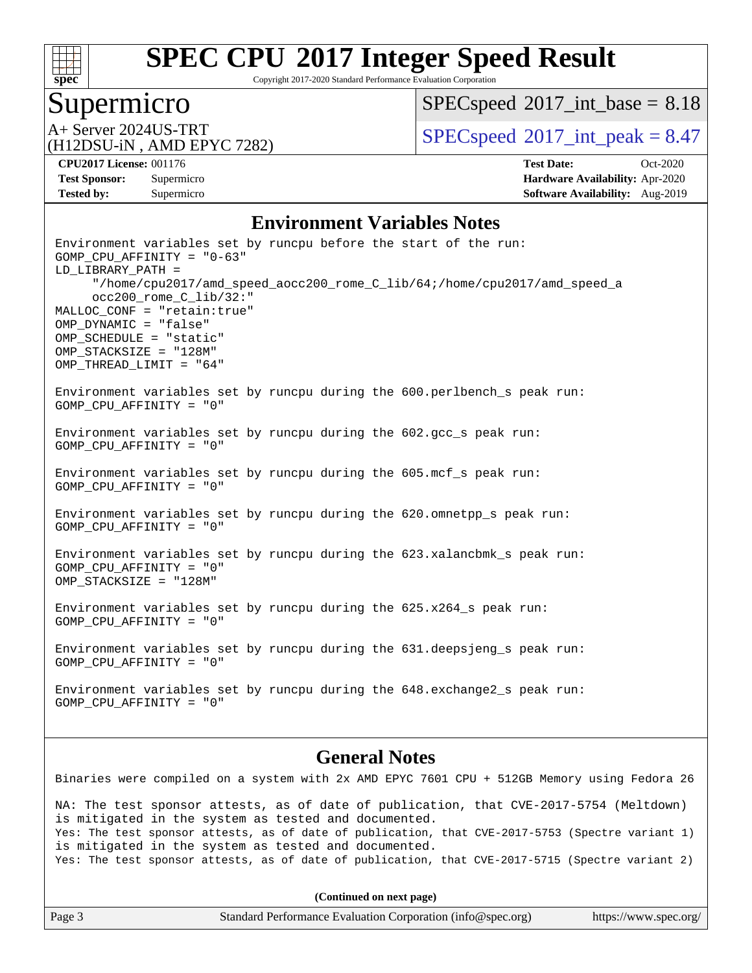

Copyright 2017-2020 Standard Performance Evaluation Corporation

### Supermicro

 $SPECspeed^{\circledcirc}2017\_int\_base = 8.18$  $SPECspeed^{\circledcirc}2017\_int\_base = 8.18$ 

(H12DSU-iN , AMD EPYC 7282)

A+ Server 2024US-TRT  $SPEC speed@2017$  int peak = 8.47

**[Tested by:](http://www.spec.org/auto/cpu2017/Docs/result-fields.html#Testedby)** Supermicro **Supermicro [Software Availability:](http://www.spec.org/auto/cpu2017/Docs/result-fields.html#SoftwareAvailability)** Aug-2019

**[CPU2017 License:](http://www.spec.org/auto/cpu2017/Docs/result-fields.html#CPU2017License)** 001176 **[Test Date:](http://www.spec.org/auto/cpu2017/Docs/result-fields.html#TestDate)** Oct-2020 **[Test Sponsor:](http://www.spec.org/auto/cpu2017/Docs/result-fields.html#TestSponsor)** Supermicro **[Hardware Availability:](http://www.spec.org/auto/cpu2017/Docs/result-fields.html#HardwareAvailability)** Apr-2020

#### **[Environment Variables Notes](http://www.spec.org/auto/cpu2017/Docs/result-fields.html#EnvironmentVariablesNotes)**

Environment variables set by runcpu before the start of the run: GOMP\_CPU\_AFFINITY = "0-63" LD\_LIBRARY\_PATH = "/home/cpu2017/amd\_speed\_aocc200\_rome\_C\_lib/64;/home/cpu2017/amd\_speed\_a occ200\_rome\_C\_lib/32:" MALLOC\_CONF = "retain:true" OMP\_DYNAMIC = "false" OMP\_SCHEDULE = "static" OMP\_STACKSIZE = "128M" OMP\_THREAD\_LIMIT = "64" Environment variables set by runcpu during the 600.perlbench\_s peak run: GOMP\_CPU\_AFFINITY = "0" Environment variables set by runcpu during the 602.gcc\_s peak run: GOMP\_CPU\_AFFINITY = "0" Environment variables set by runcpu during the 605.mcf\_s peak run: GOMP\_CPU\_AFFINITY = "0" Environment variables set by runcpu during the 620.omnetpp\_s peak run: GOMP\_CPU\_AFFINITY = "0" Environment variables set by runcpu during the 623.xalancbmk\_s peak run: GOMP\_CPU\_AFFINITY = "0" OMP\_STACKSIZE = "128M" Environment variables set by runcpu during the 625.x264\_s peak run: GOMP\_CPU\_AFFINITY = "0" Environment variables set by runcpu during the 631.deepsjeng\_s peak run: GOMP\_CPU\_AFFINITY = "0" Environment variables set by runcpu during the 648.exchange2\_s peak run: GOMP\_CPU\_AFFINITY = "0"

#### **[General Notes](http://www.spec.org/auto/cpu2017/Docs/result-fields.html#GeneralNotes)**

Binaries were compiled on a system with 2x AMD EPYC 7601 CPU + 512GB Memory using Fedora 26

NA: The test sponsor attests, as of date of publication, that CVE-2017-5754 (Meltdown) is mitigated in the system as tested and documented. Yes: The test sponsor attests, as of date of publication, that CVE-2017-5753 (Spectre variant 1) is mitigated in the system as tested and documented. Yes: The test sponsor attests, as of date of publication, that CVE-2017-5715 (Spectre variant 2)

**(Continued on next page)**

| Page 3 | Standard Performance Evaluation Corporation (info@spec.org) | https://www.spec.org/ |
|--------|-------------------------------------------------------------|-----------------------|
|        |                                                             |                       |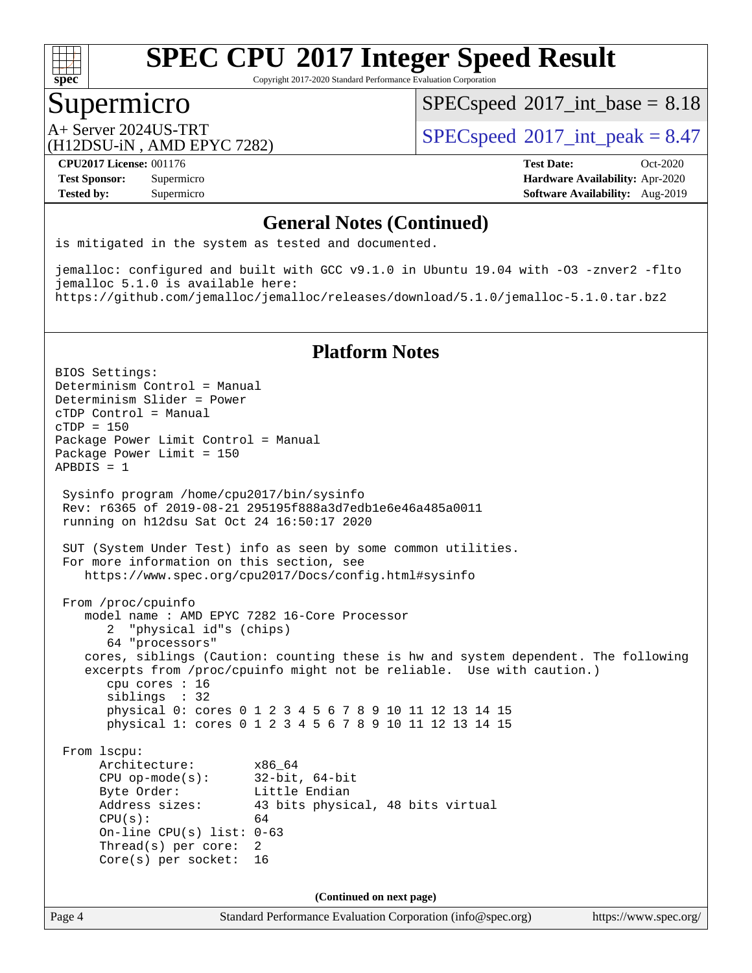

Copyright 2017-2020 Standard Performance Evaluation Corporation

### Supermicro

 $SPECspeed^{\circledcirc}2017\_int\_base = 8.18$  $SPECspeed^{\circledcirc}2017\_int\_base = 8.18$ 

(H12DSU-iN , AMD EPYC 7282)

 $A+$  Server 2024US-TRT  $SPEC speed@2017$  int peak = 8.47

**[CPU2017 License:](http://www.spec.org/auto/cpu2017/Docs/result-fields.html#CPU2017License)** 001176 **[Test Date:](http://www.spec.org/auto/cpu2017/Docs/result-fields.html#TestDate)** Oct-2020 **[Test Sponsor:](http://www.spec.org/auto/cpu2017/Docs/result-fields.html#TestSponsor)** Supermicro **[Hardware Availability:](http://www.spec.org/auto/cpu2017/Docs/result-fields.html#HardwareAvailability)** Apr-2020 **[Tested by:](http://www.spec.org/auto/cpu2017/Docs/result-fields.html#Testedby)** Supermicro **Supermicro [Software Availability:](http://www.spec.org/auto/cpu2017/Docs/result-fields.html#SoftwareAvailability)** Aug-2019

#### **[General Notes \(Continued\)](http://www.spec.org/auto/cpu2017/Docs/result-fields.html#GeneralNotes)**

is mitigated in the system as tested and documented.

jemalloc: configured and built with GCC v9.1.0 in Ubuntu 19.04 with -O3 -znver2 -flto jemalloc 5.1.0 is available here: <https://github.com/jemalloc/jemalloc/releases/download/5.1.0/jemalloc-5.1.0.tar.bz2>

#### **[Platform Notes](http://www.spec.org/auto/cpu2017/Docs/result-fields.html#PlatformNotes)**

Page 4 Standard Performance Evaluation Corporation [\(info@spec.org\)](mailto:info@spec.org) <https://www.spec.org/> BIOS Settings: Determinism Control = Manual Determinism Slider = Power cTDP Control = Manual cTDP = 150 Package Power Limit Control = Manual Package Power Limit = 150 APBDIS = 1 Sysinfo program /home/cpu2017/bin/sysinfo Rev: r6365 of 2019-08-21 295195f888a3d7edb1e6e46a485a0011 running on h12dsu Sat Oct 24 16:50:17 2020 SUT (System Under Test) info as seen by some common utilities. For more information on this section, see <https://www.spec.org/cpu2017/Docs/config.html#sysinfo> From /proc/cpuinfo model name : AMD EPYC 7282 16-Core Processor 2 "physical id"s (chips) 64 "processors" cores, siblings (Caution: counting these is hw and system dependent. The following excerpts from /proc/cpuinfo might not be reliable. Use with caution.) cpu cores : 16 siblings : 32 physical 0: cores 0 1 2 3 4 5 6 7 8 9 10 11 12 13 14 15 physical 1: cores 0 1 2 3 4 5 6 7 8 9 10 11 12 13 14 15 From lscpu: Architecture: x86\_64 CPU op-mode(s): 32-bit, 64-bit Byte Order: Little Endian Address sizes: 43 bits physical, 48 bits virtual  $CPU(s):$  64 On-line CPU(s) list: 0-63 Thread(s) per core: 2 Core(s) per socket: 16 **(Continued on next page)**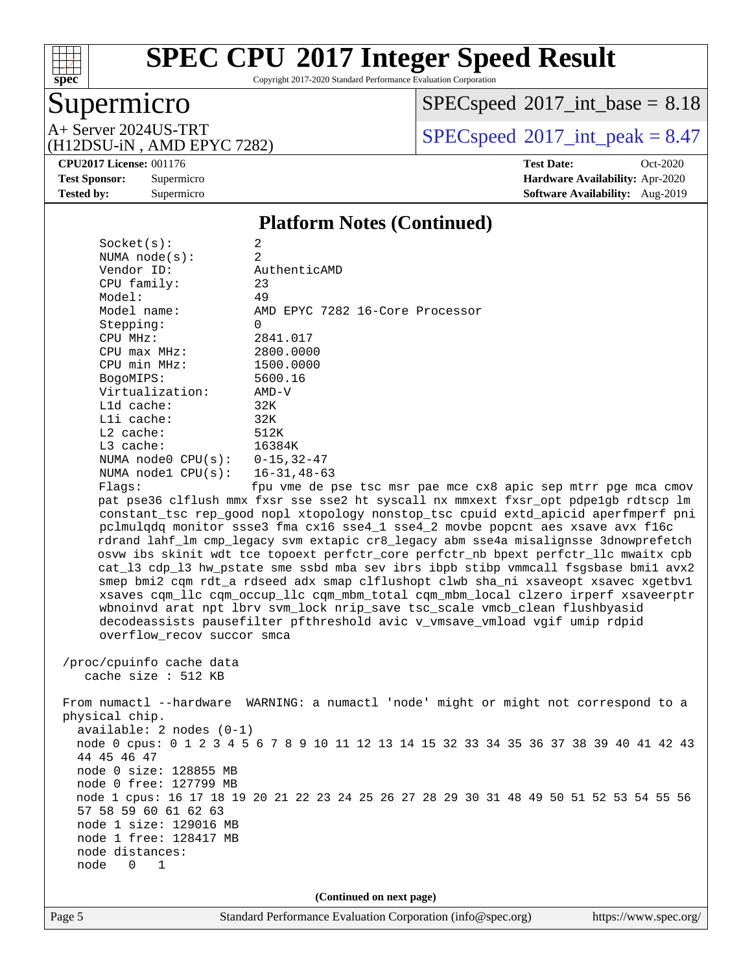

Copyright 2017-2020 Standard Performance Evaluation Corporation

## Supermicro

 $SPEC speed$ <sup>®</sup> $2017$ \_int\_base = 8.18

(H12DSU-iN , AMD EPYC 7282)

A+ Server 2024US-TRT  $\begin{array}{|l|l|}\n\hline\n\text{A+ Server 2024US-TRT}\n\hline\n\text{A+ DPSU} & \text{AMD FPVC 7282}\n\hline\n\end{array}$ 

**[Tested by:](http://www.spec.org/auto/cpu2017/Docs/result-fields.html#Testedby)** Supermicro **[Software Availability:](http://www.spec.org/auto/cpu2017/Docs/result-fields.html#SoftwareAvailability)** Aug-2019

**[CPU2017 License:](http://www.spec.org/auto/cpu2017/Docs/result-fields.html#CPU2017License)** 001176 **[Test Date:](http://www.spec.org/auto/cpu2017/Docs/result-fields.html#TestDate)** Oct-2020 **[Test Sponsor:](http://www.spec.org/auto/cpu2017/Docs/result-fields.html#TestSponsor)** Supermicro **[Hardware Availability:](http://www.spec.org/auto/cpu2017/Docs/result-fields.html#HardwareAvailability)** Apr-2020

#### **[Platform Notes \(Continued\)](http://www.spec.org/auto/cpu2017/Docs/result-fields.html#PlatformNotes)**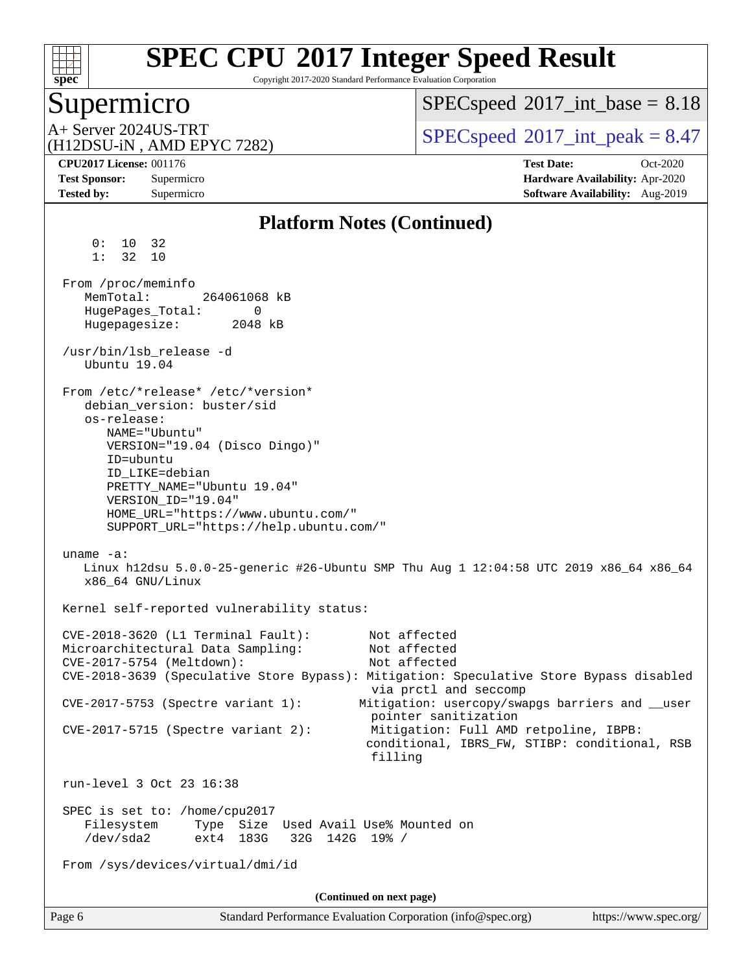

Copyright 2017-2020 Standard Performance Evaluation Corporation

### Supermicro

 $SPECspeed^{\circledcirc}2017\_int\_base = 8.18$  $SPECspeed^{\circledcirc}2017\_int\_base = 8.18$ 

(H12DSU-iN , AMD EPYC 7282)

 $A+$  Server 2024US-TRT  $SPEC speed@2017$  int peak = 8.47

**[Tested by:](http://www.spec.org/auto/cpu2017/Docs/result-fields.html#Testedby)** Supermicro **Supermicro [Software Availability:](http://www.spec.org/auto/cpu2017/Docs/result-fields.html#SoftwareAvailability)** Aug-2019

**[CPU2017 License:](http://www.spec.org/auto/cpu2017/Docs/result-fields.html#CPU2017License)** 001176 **[Test Date:](http://www.spec.org/auto/cpu2017/Docs/result-fields.html#TestDate)** Oct-2020 **[Test Sponsor:](http://www.spec.org/auto/cpu2017/Docs/result-fields.html#TestSponsor)** Supermicro **[Hardware Availability:](http://www.spec.org/auto/cpu2017/Docs/result-fields.html#HardwareAvailability)** Apr-2020

#### Page 6 Standard Performance Evaluation Corporation [\(info@spec.org\)](mailto:info@spec.org) <https://www.spec.org/> **[Platform Notes \(Continued\)](http://www.spec.org/auto/cpu2017/Docs/result-fields.html#PlatformNotes)** 0: 10 32 1: 32 10 From /proc/meminfo MemTotal: 264061068 kB HugePages\_Total: 0 Hugepagesize: 2048 kB /usr/bin/lsb\_release -d Ubuntu 19.04 From /etc/\*release\* /etc/\*version\* debian\_version: buster/sid os-release: NAME="Ubuntu" VERSION="19.04 (Disco Dingo)" ID=ubuntu ID\_LIKE=debian PRETTY\_NAME="Ubuntu 19.04" VERSION\_ID="19.04" HOME\_URL="<https://www.ubuntu.com/"> SUPPORT\_URL="<https://help.ubuntu.com/"> uname -a: Linux h12dsu 5.0.0-25-generic #26-Ubuntu SMP Thu Aug 1 12:04:58 UTC 2019 x86\_64 x86\_64 x86\_64 GNU/Linux Kernel self-reported vulnerability status: CVE-2018-3620 (L1 Terminal Fault): Not affected Microarchitectural Data Sampling: Not affected CVE-2017-5754 (Meltdown): Not affected CVE-2018-3639 (Speculative Store Bypass): Mitigation: Speculative Store Bypass disabled via prctl and seccomp CVE-2017-5753 (Spectre variant 1): Mitigation: usercopy/swapgs barriers and \_\_user pointer sanitization CVE-2017-5715 (Spectre variant 2): Mitigation: Full AMD retpoline, IBPB: conditional, IBRS\_FW, STIBP: conditional, RSB filling run-level 3 Oct 23 16:38 SPEC is set to: /home/cpu2017 Filesystem Type Size Used Avail Use% Mounted on /dev/sda2 ext4 183G 32G 142G 19% / From /sys/devices/virtual/dmi/id **(Continued on next page)**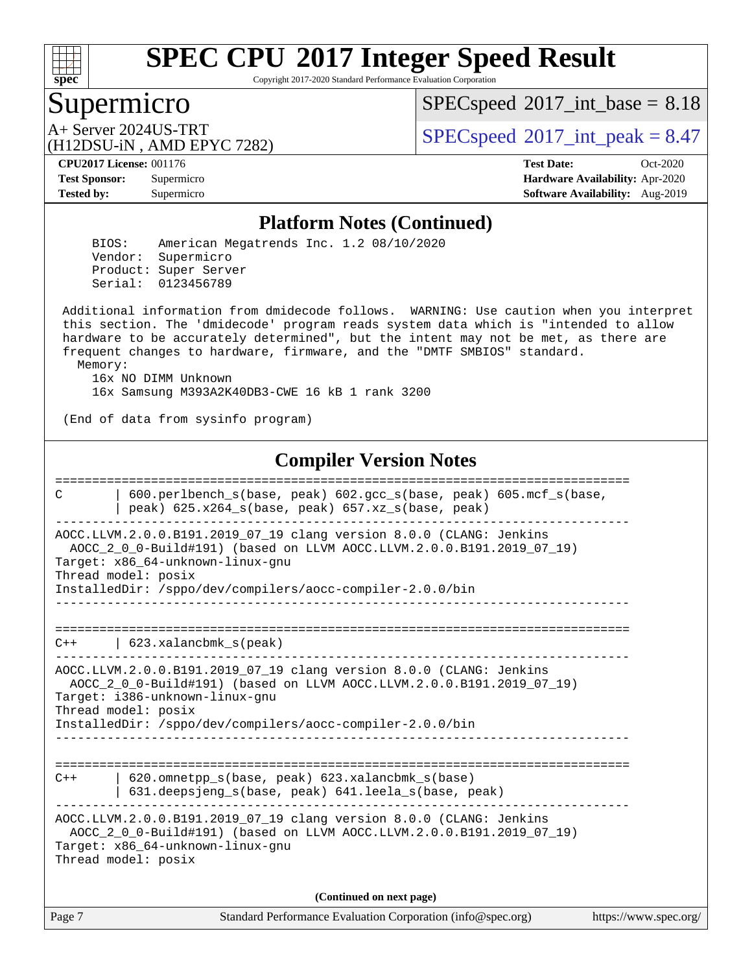

Copyright 2017-2020 Standard Performance Evaluation Corporation

### Supermicro

 $SPECspeed^{\circledcirc}2017\_int\_base = 8.18$  $SPECspeed^{\circledcirc}2017\_int\_base = 8.18$ 

(H12DSU-iN , AMD EPYC 7282)

 $A+$  Server 2024US-TRT  $SPEC speed@2017$  int peak = 8.47

**[Tested by:](http://www.spec.org/auto/cpu2017/Docs/result-fields.html#Testedby)** Supermicro **Supermicro [Software Availability:](http://www.spec.org/auto/cpu2017/Docs/result-fields.html#SoftwareAvailability)** Aug-2019

**[CPU2017 License:](http://www.spec.org/auto/cpu2017/Docs/result-fields.html#CPU2017License)** 001176 **[Test Date:](http://www.spec.org/auto/cpu2017/Docs/result-fields.html#TestDate)** Oct-2020 **[Test Sponsor:](http://www.spec.org/auto/cpu2017/Docs/result-fields.html#TestSponsor)** Supermicro **[Hardware Availability:](http://www.spec.org/auto/cpu2017/Docs/result-fields.html#HardwareAvailability)** Apr-2020

#### **[Platform Notes \(Continued\)](http://www.spec.org/auto/cpu2017/Docs/result-fields.html#PlatformNotes)**

 BIOS: American Megatrends Inc. 1.2 08/10/2020 Vendor: Supermicro Product: Super Server Serial: 0123456789

 Additional information from dmidecode follows. WARNING: Use caution when you interpret this section. The 'dmidecode' program reads system data which is "intended to allow hardware to be accurately determined", but the intent may not be met, as there are frequent changes to hardware, firmware, and the "DMTF SMBIOS" standard. Memory:

 16x NO DIMM Unknown 16x Samsung M393A2K40DB3-CWE 16 kB 1 rank 3200

(End of data from sysinfo program)

#### **[Compiler Version Notes](http://www.spec.org/auto/cpu2017/Docs/result-fields.html#CompilerVersionNotes)**

Page 7 Standard Performance Evaluation Corporation [\(info@spec.org\)](mailto:info@spec.org) <https://www.spec.org/> ============================================================================== C | 600.perlbench\_s(base, peak) 602.gcc\_s(base, peak) 605.mcf\_s(base, | peak)  $625.x264_s(base, peak)$   $657.xz_s(base, peak)$ ------------------------------------------------------------------------------ AOCC.LLVM.2.0.0.B191.2019\_07\_19 clang version 8.0.0 (CLANG: Jenkins AOCC\_2\_0\_0-Build#191) (based on LLVM AOCC.LLVM.2.0.0.B191.2019\_07\_19) Target: x86\_64-unknown-linux-gnu Thread model: posix InstalledDir: /sppo/dev/compilers/aocc-compiler-2.0.0/bin ------------------------------------------------------------------------------ ============================================================================== C++ | 623.xalancbmk\_s(peak) ------------------------------------------------------------------------------ AOCC.LLVM.2.0.0.B191.2019\_07\_19 clang version 8.0.0 (CLANG: Jenkins AOCC\_2\_0\_0-Build#191) (based on LLVM AOCC.LLVM.2.0.0.B191.2019\_07\_19) Target: i386-unknown-linux-gnu Thread model: posix InstalledDir: /sppo/dev/compilers/aocc-compiler-2.0.0/bin ------------------------------------------------------------------------------ ============================================================================== C++ | 620.omnetpp\_s(base, peak) 623.xalancbmk\_s(base) | 631.deepsjeng\_s(base, peak) 641.leela\_s(base, peak) ------------------------------------------------------------------------------ AOCC.LLVM.2.0.0.B191.2019\_07\_19 clang version 8.0.0 (CLANG: Jenkins AOCC\_2\_0\_0-Build#191) (based on LLVM AOCC.LLVM.2.0.0.B191.2019\_07\_19) Target: x86\_64-unknown-linux-gnu Thread model: posix **(Continued on next page)**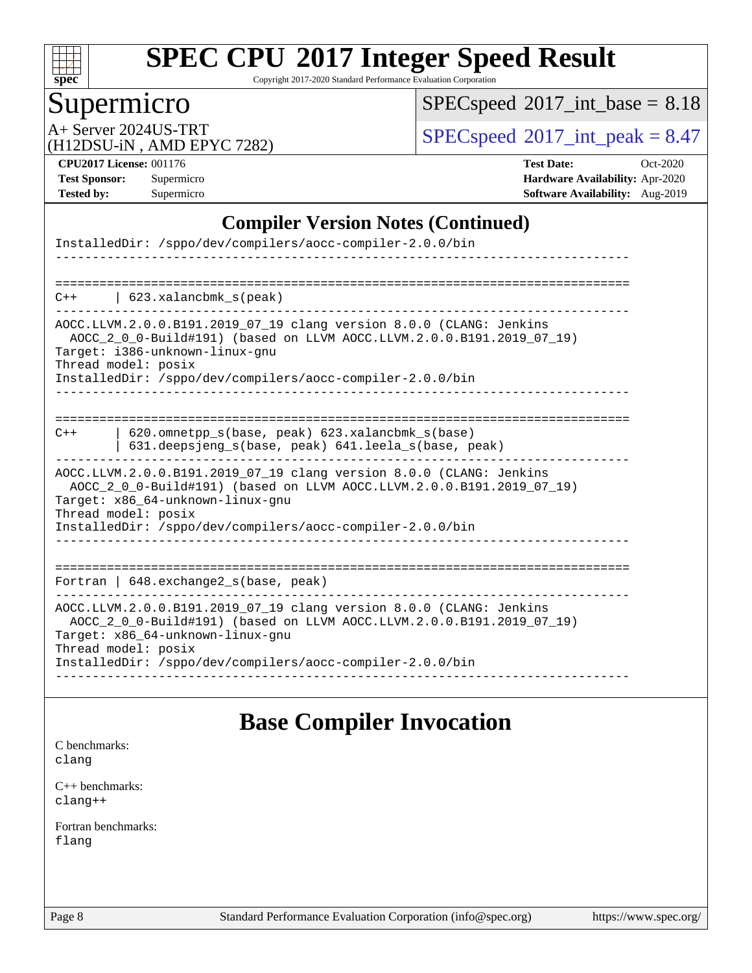

Copyright 2017-2020 Standard Performance Evaluation Corporation

### Supermicro

 $SPEC speed$ <sup>®</sup> $2017$ \_int\_base = 8.18

(H12DSU-iN , AMD EPYC 7282)

A+ Server 2024US-TRT  $SPEC speed \text{°}2017\_int\_peak = 8.47$ 

**[CPU2017 License:](http://www.spec.org/auto/cpu2017/Docs/result-fields.html#CPU2017License)** 001176 **[Test Date:](http://www.spec.org/auto/cpu2017/Docs/result-fields.html#TestDate)** Oct-2020 **[Test Sponsor:](http://www.spec.org/auto/cpu2017/Docs/result-fields.html#TestSponsor)** Supermicro **[Hardware Availability:](http://www.spec.org/auto/cpu2017/Docs/result-fields.html#HardwareAvailability)** Apr-2020 **[Tested by:](http://www.spec.org/auto/cpu2017/Docs/result-fields.html#Testedby)** Supermicro **[Software Availability:](http://www.spec.org/auto/cpu2017/Docs/result-fields.html#SoftwareAvailability)** Aug-2019

#### **[Compiler Version Notes \(Continued\)](http://www.spec.org/auto/cpu2017/Docs/result-fields.html#CompilerVersionNotes)**

| InstalledDir: /sppo/dev/compilers/aocc-compiler-2.0.0/bin                                                                                                                                                                                                            |
|----------------------------------------------------------------------------------------------------------------------------------------------------------------------------------------------------------------------------------------------------------------------|
| $C++$   623.xalancbmk_s(peak)                                                                                                                                                                                                                                        |
| AOCC.LLVM.2.0.0.B191.2019_07_19 clang version 8.0.0 (CLANG: Jenkins<br>AOCC_2_0_0-Build#191) (based on LLVM AOCC.LLVM.2.0.0.B191.2019_07_19)<br>Target: i386-unknown-linux-gnu<br>Thread model: posix<br>InstalledDir: /sppo/dev/compilers/aocc-compiler-2.0.0/bin   |
| 620.omnetpp_s(base, peak) 623.xalancbmk_s(base)<br>$C++$<br>631.deepsjeng_s(base, peak) 641.leela_s(base, peak)                                                                                                                                                      |
| AOCC.LLVM.2.0.0.B191.2019_07_19 clang version 8.0.0 (CLANG: Jenkins<br>AOCC 2 0 0-Build#191) (based on LLVM AOCC.LLVM.2.0.0.B191.2019 07 19)<br>Target: x86_64-unknown-linux-gnu<br>Thread model: posix<br>InstalledDir: /sppo/dev/compilers/aocc-compiler-2.0.0/bin |
| -------------------------------------<br>Fortran   648. exchange2_s(base, peak)                                                                                                                                                                                      |
| AOCC.LLVM.2.0.0.B191.2019_07_19 clang version 8.0.0 (CLANG: Jenkins<br>AOCC_2_0_0-Build#191) (based on LLVM AOCC.LLVM.2.0.0.B191.2019_07_19)<br>Target: x86 64-unknown-linux-gnu<br>Thread model: posix<br>InstalledDir: /sppo/dev/compilers/aocc-compiler-2.0.0/bin |

### **[Base Compiler Invocation](http://www.spec.org/auto/cpu2017/Docs/result-fields.html#BaseCompilerInvocation)**

[C benchmarks](http://www.spec.org/auto/cpu2017/Docs/result-fields.html#Cbenchmarks): [clang](http://www.spec.org/cpu2017/results/res2020q4/cpu2017-20201027-24307.flags.html#user_CCbase_clang-c)

[C++ benchmarks:](http://www.spec.org/auto/cpu2017/Docs/result-fields.html#CXXbenchmarks) [clang++](http://www.spec.org/cpu2017/results/res2020q4/cpu2017-20201027-24307.flags.html#user_CXXbase_clang-cpp)

[Fortran benchmarks](http://www.spec.org/auto/cpu2017/Docs/result-fields.html#Fortranbenchmarks): [flang](http://www.spec.org/cpu2017/results/res2020q4/cpu2017-20201027-24307.flags.html#user_FCbase_flang)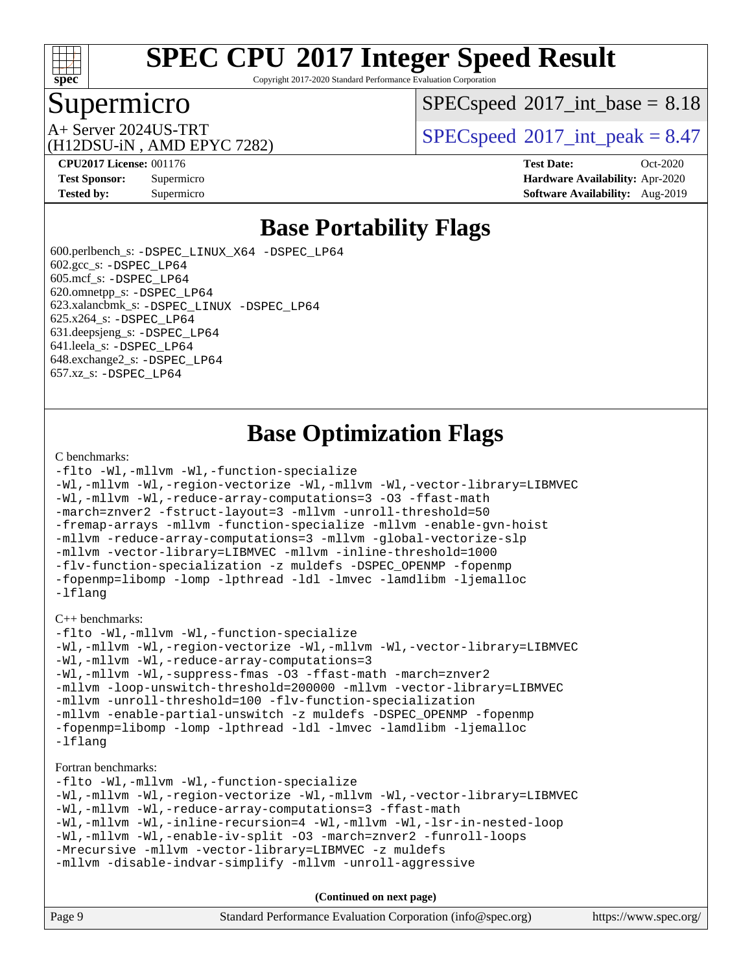

Copyright 2017-2020 Standard Performance Evaluation Corporation

### Supermicro

 $SPECspeed^{\circledcirc}2017\_int\_base = 8.18$  $SPECspeed^{\circledcirc}2017\_int\_base = 8.18$ 

(H12DSU-iN , AMD EPYC 7282)

A+ Server 2024US-TRT  $\begin{array}{|l|l|}\n\hline\n\text{A+Server 2024US-TRT}\n\hline\n\text{A-Server 3024US-TRT}\n\hline\n\end{array}$ 

**[Tested by:](http://www.spec.org/auto/cpu2017/Docs/result-fields.html#Testedby)** Supermicro **Supermicro [Software Availability:](http://www.spec.org/auto/cpu2017/Docs/result-fields.html#SoftwareAvailability)** Aug-2019

**[CPU2017 License:](http://www.spec.org/auto/cpu2017/Docs/result-fields.html#CPU2017License)** 001176 **[Test Date:](http://www.spec.org/auto/cpu2017/Docs/result-fields.html#TestDate)** Oct-2020 **[Test Sponsor:](http://www.spec.org/auto/cpu2017/Docs/result-fields.html#TestSponsor)** Supermicro **[Hardware Availability:](http://www.spec.org/auto/cpu2017/Docs/result-fields.html#HardwareAvailability)** Apr-2020

### **[Base Portability Flags](http://www.spec.org/auto/cpu2017/Docs/result-fields.html#BasePortabilityFlags)**

 600.perlbench\_s: [-DSPEC\\_LINUX\\_X64](http://www.spec.org/cpu2017/results/res2020q4/cpu2017-20201027-24307.flags.html#b600.perlbench_s_basePORTABILITY_DSPEC_LINUX_X64) [-DSPEC\\_LP64](http://www.spec.org/cpu2017/results/res2020q4/cpu2017-20201027-24307.flags.html#b600.perlbench_s_baseEXTRA_PORTABILITY_DSPEC_LP64)  $602.\text{gcc}\$ s:  $-DSPEC$  LP64 605.mcf\_s: [-DSPEC\\_LP64](http://www.spec.org/cpu2017/results/res2020q4/cpu2017-20201027-24307.flags.html#suite_baseEXTRA_PORTABILITY605_mcf_s_DSPEC_LP64) 620.omnetpp\_s: [-DSPEC\\_LP64](http://www.spec.org/cpu2017/results/res2020q4/cpu2017-20201027-24307.flags.html#suite_baseEXTRA_PORTABILITY620_omnetpp_s_DSPEC_LP64) 623.xalancbmk\_s: [-DSPEC\\_LINUX](http://www.spec.org/cpu2017/results/res2020q4/cpu2017-20201027-24307.flags.html#b623.xalancbmk_s_basePORTABILITY_DSPEC_LINUX) [-DSPEC\\_LP64](http://www.spec.org/cpu2017/results/res2020q4/cpu2017-20201027-24307.flags.html#suite_baseEXTRA_PORTABILITY623_xalancbmk_s_DSPEC_LP64) 625.x264\_s: [-DSPEC\\_LP64](http://www.spec.org/cpu2017/results/res2020q4/cpu2017-20201027-24307.flags.html#suite_baseEXTRA_PORTABILITY625_x264_s_DSPEC_LP64) 631.deepsjeng\_s: [-DSPEC\\_LP64](http://www.spec.org/cpu2017/results/res2020q4/cpu2017-20201027-24307.flags.html#suite_baseEXTRA_PORTABILITY631_deepsjeng_s_DSPEC_LP64) 641.leela\_s: [-DSPEC\\_LP64](http://www.spec.org/cpu2017/results/res2020q4/cpu2017-20201027-24307.flags.html#suite_baseEXTRA_PORTABILITY641_leela_s_DSPEC_LP64) 648.exchange2\_s: [-DSPEC\\_LP64](http://www.spec.org/cpu2017/results/res2020q4/cpu2017-20201027-24307.flags.html#suite_baseEXTRA_PORTABILITY648_exchange2_s_DSPEC_LP64) 657.xz\_s: [-DSPEC\\_LP64](http://www.spec.org/cpu2017/results/res2020q4/cpu2017-20201027-24307.flags.html#suite_baseEXTRA_PORTABILITY657_xz_s_DSPEC_LP64)

### **[Base Optimization Flags](http://www.spec.org/auto/cpu2017/Docs/result-fields.html#BaseOptimizationFlags)**

#### [C benchmarks](http://www.spec.org/auto/cpu2017/Docs/result-fields.html#Cbenchmarks):

```
-flto -Wl,-mllvm -Wl,-function-specialize
-Wl,-mllvm -Wl,-region-vectorize -Wl,-mllvm -Wl,-vector-library=LIBMVEC
-Wl,-mllvm -Wl,-reduce-array-computations=3 -O3 -ffast-math
-march=znver2 -fstruct-layout=3 -mllvm -unroll-threshold=50
-fremap-arrays -mllvm -function-specialize -mllvm -enable-gvn-hoist
-mllvm -reduce-array-computations=3 -mllvm -global-vectorize-slp
-mllvm -vector-library=LIBMVEC -mllvm -inline-threshold=1000
-flv-function-specialization -z muldefs -DSPEC_OPENMP -fopenmp
-fopenmp=libomp -lomp -lpthread -ldl -lmvec -lamdlibm -ljemalloc
-lflang
```
[C++ benchmarks:](http://www.spec.org/auto/cpu2017/Docs/result-fields.html#CXXbenchmarks)

```
-flto -Wl,-mllvm -Wl,-function-specialize
-Wl,-mllvm -Wl,-region-vectorize -Wl,-mllvm -Wl,-vector-library=LIBMVEC
-Wl,-mllvm -Wl,-reduce-array-computations=3
-Wl,-mllvm -Wl,-suppress-fmas -O3 -ffast-math -march=znver2
-mllvm -loop-unswitch-threshold=200000 -mllvm -vector-library=LIBMVEC
-mllvm -unroll-threshold=100 -flv-function-specialization
-mllvm -enable-partial-unswitch -z muldefs -DSPEC_OPENMP -fopenmp
-fopenmp=libomp -lomp -lpthread -ldl -lmvec -lamdlibm -ljemalloc
-lflang
```
#### [Fortran benchmarks](http://www.spec.org/auto/cpu2017/Docs/result-fields.html#Fortranbenchmarks):

```
-flto -Wl,-mllvm -Wl,-function-specialize
-Wl,-mllvm -Wl,-region-vectorize -Wl,-mllvm -Wl,-vector-library=LIBMVEC
-Wl,-mllvm -Wl,-reduce-array-computations=3 -ffast-math
-Wl,-mllvm -Wl,-inline-recursion=4 -Wl,-mllvm -Wl,-lsr-in-nested-loop
-Wl,-mllvm -Wl,-enable-iv-split -O3 -march=znver2 -funroll-loops
-Mrecursive -mllvm -vector-library=LIBMVEC -z muldefs
-mllvm -disable-indvar-simplify -mllvm -unroll-aggressive
```
**(Continued on next page)**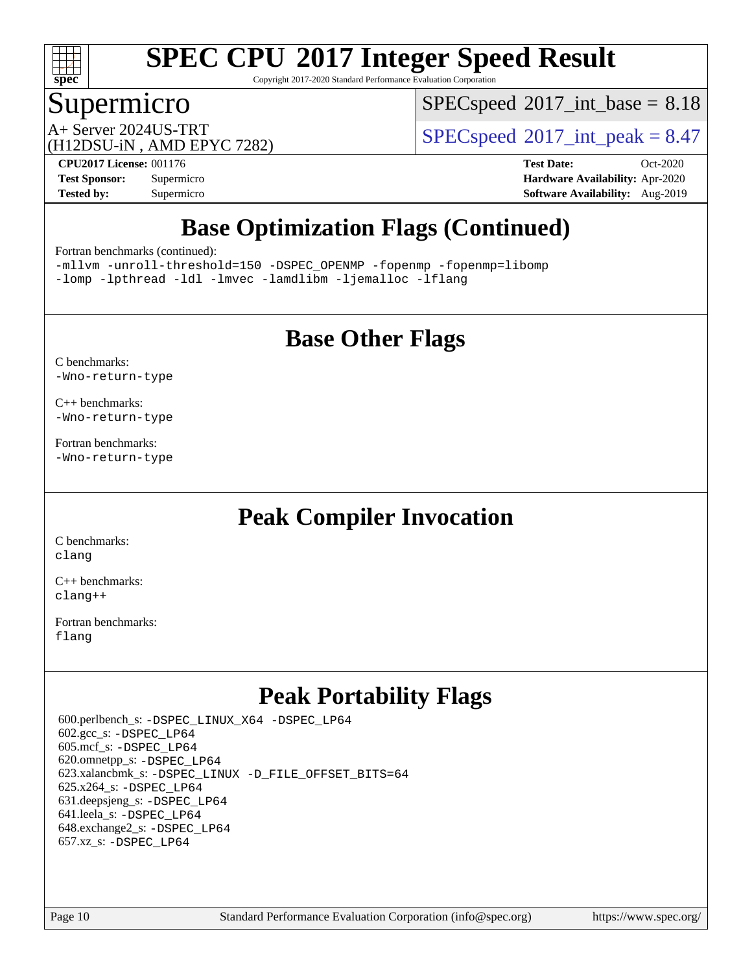

Copyright 2017-2020 Standard Performance Evaluation Corporation

### Supermicro

 $SPECspeed^{\circledcirc}2017\_int\_base = 8.18$  $SPECspeed^{\circledcirc}2017\_int\_base = 8.18$ 

(H12DSU-iN , AMD EPYC 7282)

 $A+$  Server 2024US-TRT  $SPEC speed@2017$  int peak = 8.47

**[Tested by:](http://www.spec.org/auto/cpu2017/Docs/result-fields.html#Testedby)** Supermicro **[Software Availability:](http://www.spec.org/auto/cpu2017/Docs/result-fields.html#SoftwareAvailability)** Aug-2019

**[CPU2017 License:](http://www.spec.org/auto/cpu2017/Docs/result-fields.html#CPU2017License)** 001176 **[Test Date:](http://www.spec.org/auto/cpu2017/Docs/result-fields.html#TestDate)** Oct-2020 **[Test Sponsor:](http://www.spec.org/auto/cpu2017/Docs/result-fields.html#TestSponsor)** Supermicro **[Hardware Availability:](http://www.spec.org/auto/cpu2017/Docs/result-fields.html#HardwareAvailability)** Apr-2020

### **[Base Optimization Flags \(Continued\)](http://www.spec.org/auto/cpu2017/Docs/result-fields.html#BaseOptimizationFlags)**

[Fortran benchmarks](http://www.spec.org/auto/cpu2017/Docs/result-fields.html#Fortranbenchmarks) (continued):

[-mllvm -unroll-threshold=150](http://www.spec.org/cpu2017/results/res2020q4/cpu2017-20201027-24307.flags.html#user_FCbase_F-unroll-threshold_3352736ce55666ed13437f5f5fd6693920e68d4dfd26bba42492bb1c46b6d7692ff5ba7bd4d2ebdab48d140ca981a39154ff0664b4d322a66fc3d1aafa4d7ffe) [-DSPEC\\_OPENMP](http://www.spec.org/cpu2017/results/res2020q4/cpu2017-20201027-24307.flags.html#suite_FCbase_DSPEC_OPENMP) [-fopenmp](http://www.spec.org/cpu2017/results/res2020q4/cpu2017-20201027-24307.flags.html#user_FCbase_aocc-fopenmp) [-fopenmp=libomp](http://www.spec.org/cpu2017/results/res2020q4/cpu2017-20201027-24307.flags.html#user_FCbase_aocc-fopenmp_3eb6ab80166bcc84161ff8c20c8d5bc344f88119f45620444596454f7d72e99b7a0ceefc2d1b4d190bd07306bbfdfc20f11f5a2dc69c9b03c72239f8406741c3) [-lomp](http://www.spec.org/cpu2017/results/res2020q4/cpu2017-20201027-24307.flags.html#user_FCbase_F-lomp) [-lpthread](http://www.spec.org/cpu2017/results/res2020q4/cpu2017-20201027-24307.flags.html#user_FCbase_F-lpthread) [-ldl](http://www.spec.org/cpu2017/results/res2020q4/cpu2017-20201027-24307.flags.html#user_FCbase_F-ldl) [-lmvec](http://www.spec.org/cpu2017/results/res2020q4/cpu2017-20201027-24307.flags.html#user_FCbase_F-lmvec) [-lamdlibm](http://www.spec.org/cpu2017/results/res2020q4/cpu2017-20201027-24307.flags.html#user_FCbase_F-lamdlibm) [-ljemalloc](http://www.spec.org/cpu2017/results/res2020q4/cpu2017-20201027-24307.flags.html#user_FCbase_jemalloc-lib) [-lflang](http://www.spec.org/cpu2017/results/res2020q4/cpu2017-20201027-24307.flags.html#user_FCbase_F-lflang)

### **[Base Other Flags](http://www.spec.org/auto/cpu2017/Docs/result-fields.html#BaseOtherFlags)**

[C benchmarks](http://www.spec.org/auto/cpu2017/Docs/result-fields.html#Cbenchmarks): [-Wno-return-type](http://www.spec.org/cpu2017/results/res2020q4/cpu2017-20201027-24307.flags.html#user_CCbase_F-Waocc-no-return-type)

[C++ benchmarks:](http://www.spec.org/auto/cpu2017/Docs/result-fields.html#CXXbenchmarks) [-Wno-return-type](http://www.spec.org/cpu2017/results/res2020q4/cpu2017-20201027-24307.flags.html#user_CXXbase_F-Waocc-no-return-type)

[Fortran benchmarks](http://www.spec.org/auto/cpu2017/Docs/result-fields.html#Fortranbenchmarks): [-Wno-return-type](http://www.spec.org/cpu2017/results/res2020q4/cpu2017-20201027-24307.flags.html#user_FCbase_F-Waocc-no-return-type)

### **[Peak Compiler Invocation](http://www.spec.org/auto/cpu2017/Docs/result-fields.html#PeakCompilerInvocation)**

[C benchmarks](http://www.spec.org/auto/cpu2017/Docs/result-fields.html#Cbenchmarks): [clang](http://www.spec.org/cpu2017/results/res2020q4/cpu2017-20201027-24307.flags.html#user_CCpeak_clang-c)

[C++ benchmarks:](http://www.spec.org/auto/cpu2017/Docs/result-fields.html#CXXbenchmarks) [clang++](http://www.spec.org/cpu2017/results/res2020q4/cpu2017-20201027-24307.flags.html#user_CXXpeak_clang-cpp)

[Fortran benchmarks](http://www.spec.org/auto/cpu2017/Docs/result-fields.html#Fortranbenchmarks): [flang](http://www.spec.org/cpu2017/results/res2020q4/cpu2017-20201027-24307.flags.html#user_FCpeak_flang)

### **[Peak Portability Flags](http://www.spec.org/auto/cpu2017/Docs/result-fields.html#PeakPortabilityFlags)**

 600.perlbench\_s: [-DSPEC\\_LINUX\\_X64](http://www.spec.org/cpu2017/results/res2020q4/cpu2017-20201027-24307.flags.html#b600.perlbench_s_peakPORTABILITY_DSPEC_LINUX_X64) [-DSPEC\\_LP64](http://www.spec.org/cpu2017/results/res2020q4/cpu2017-20201027-24307.flags.html#b600.perlbench_s_peakEXTRA_PORTABILITY_DSPEC_LP64) 602.gcc\_s: [-DSPEC\\_LP64](http://www.spec.org/cpu2017/results/res2020q4/cpu2017-20201027-24307.flags.html#suite_peakEXTRA_PORTABILITY602_gcc_s_DSPEC_LP64) 605.mcf\_s: [-DSPEC\\_LP64](http://www.spec.org/cpu2017/results/res2020q4/cpu2017-20201027-24307.flags.html#suite_peakEXTRA_PORTABILITY605_mcf_s_DSPEC_LP64) 620.omnetpp\_s: [-DSPEC\\_LP64](http://www.spec.org/cpu2017/results/res2020q4/cpu2017-20201027-24307.flags.html#suite_peakEXTRA_PORTABILITY620_omnetpp_s_DSPEC_LP64) 623.xalancbmk\_s: [-DSPEC\\_LINUX](http://www.spec.org/cpu2017/results/res2020q4/cpu2017-20201027-24307.flags.html#b623.xalancbmk_s_peakPORTABILITY_DSPEC_LINUX) [-D\\_FILE\\_OFFSET\\_BITS=64](http://www.spec.org/cpu2017/results/res2020q4/cpu2017-20201027-24307.flags.html#user_peakEXTRA_PORTABILITY623_xalancbmk_s_F-D_FILE_OFFSET_BITS_5ae949a99b284ddf4e95728d47cb0843d81b2eb0e18bdfe74bbf0f61d0b064f4bda2f10ea5eb90e1dcab0e84dbc592acfc5018bc955c18609f94ddb8d550002c) 625.x264\_s: [-DSPEC\\_LP64](http://www.spec.org/cpu2017/results/res2020q4/cpu2017-20201027-24307.flags.html#suite_peakEXTRA_PORTABILITY625_x264_s_DSPEC_LP64) 631.deepsjeng\_s: [-DSPEC\\_LP64](http://www.spec.org/cpu2017/results/res2020q4/cpu2017-20201027-24307.flags.html#suite_peakEXTRA_PORTABILITY631_deepsjeng_s_DSPEC_LP64) 641.leela\_s: [-DSPEC\\_LP64](http://www.spec.org/cpu2017/results/res2020q4/cpu2017-20201027-24307.flags.html#suite_peakEXTRA_PORTABILITY641_leela_s_DSPEC_LP64) 648.exchange2\_s: [-DSPEC\\_LP64](http://www.spec.org/cpu2017/results/res2020q4/cpu2017-20201027-24307.flags.html#suite_peakEXTRA_PORTABILITY648_exchange2_s_DSPEC_LP64) 657.xz\_s: [-DSPEC\\_LP64](http://www.spec.org/cpu2017/results/res2020q4/cpu2017-20201027-24307.flags.html#suite_peakEXTRA_PORTABILITY657_xz_s_DSPEC_LP64)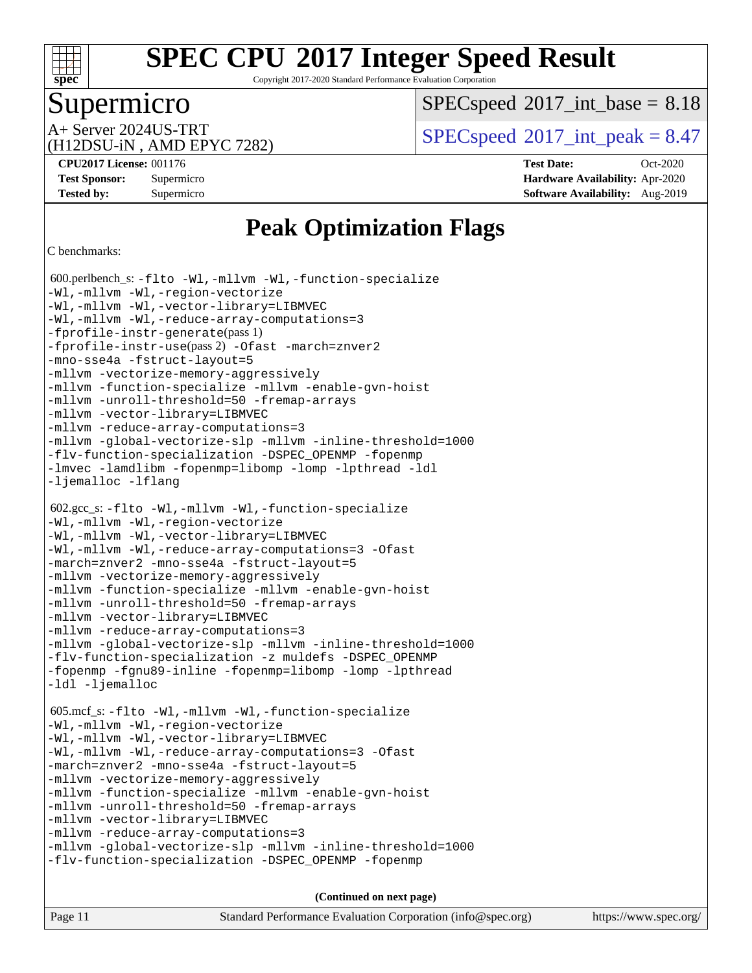

Copyright 2017-2020 Standard Performance Evaluation Corporation

### Supermicro

 $SPECspeed^{\circledcirc}2017\_int\_base = 8.18$  $SPECspeed^{\circledcirc}2017\_int\_base = 8.18$ 

(H12DSU-iN , AMD EPYC 7282)

 $A+$  Server 2024US-TRT  $SPEC speed@2017$  int peak = 8.47

**[CPU2017 License:](http://www.spec.org/auto/cpu2017/Docs/result-fields.html#CPU2017License)** 001176 **[Test Date:](http://www.spec.org/auto/cpu2017/Docs/result-fields.html#TestDate)** Oct-2020 **[Test Sponsor:](http://www.spec.org/auto/cpu2017/Docs/result-fields.html#TestSponsor)** Supermicro **[Hardware Availability:](http://www.spec.org/auto/cpu2017/Docs/result-fields.html#HardwareAvailability)** Apr-2020 **[Tested by:](http://www.spec.org/auto/cpu2017/Docs/result-fields.html#Testedby)** Supermicro **[Software Availability:](http://www.spec.org/auto/cpu2017/Docs/result-fields.html#SoftwareAvailability)** Aug-2019

### **[Peak Optimization Flags](http://www.spec.org/auto/cpu2017/Docs/result-fields.html#PeakOptimizationFlags)**

```
C benchmarks:
```
 600.perlbench\_s: [-flto](http://www.spec.org/cpu2017/results/res2020q4/cpu2017-20201027-24307.flags.html#user_peakCOPTIMIZELDFLAGS600_perlbench_s_aocc-flto) [-Wl,-mllvm -Wl,-function-specialize](http://www.spec.org/cpu2017/results/res2020q4/cpu2017-20201027-24307.flags.html#user_peakLDFLAGS600_perlbench_s_F-function-specialize_7e7e661e57922243ee67c9a1251cb8910e607325179a0ce7f2884e09a6f5d4a5ef0ae4f37e8a2a11c95fc48e931f06dc2b6016f14b511fcb441e048bef1b065a) [-Wl,-mllvm -Wl,-region-vectorize](http://www.spec.org/cpu2017/results/res2020q4/cpu2017-20201027-24307.flags.html#user_peakLDFLAGS600_perlbench_s_F-region-vectorize_fb6c6b5aa293c88efc6c7c2b52b20755e943585b1fe8658c35afef78727fff56e1a56891413c30e36b8e2a6f9a71126986319243e80eb6110b78b288f533c52b) [-Wl,-mllvm -Wl,-vector-library=LIBMVEC](http://www.spec.org/cpu2017/results/res2020q4/cpu2017-20201027-24307.flags.html#user_peakLDFLAGS600_perlbench_s_F-use-vector-library_0a14b27fae317f283640384a31f7bfcc2bd4c1d0b5cfc618a3a430800c9b20217b00f61303eff223a3251b4f06ffbc9739dc5296db9d1fbb9ad24a3939d86d66) [-Wl,-mllvm -Wl,-reduce-array-computations=3](http://www.spec.org/cpu2017/results/res2020q4/cpu2017-20201027-24307.flags.html#user_peakLDFLAGS600_perlbench_s_F-reduce-array-computations_b882aefe7a5dda4e33149f6299762b9a720dace3e498e13756f4c04e5a19edf5315c1f3993de2e61ec41e8c206231f84e05da7040e1bb5d69ba27d10a12507e4) [-fprofile-instr-generate](http://www.spec.org/cpu2017/results/res2020q4/cpu2017-20201027-24307.flags.html#user_peakPASS1_CFLAGSPASS1_LDFLAGS600_perlbench_s_F-fprofile-instr-generate)(pass 1) [-fprofile-instr-use](http://www.spec.org/cpu2017/results/res2020q4/cpu2017-20201027-24307.flags.html#user_peakPASS2_CFLAGSPASS2_LDFLAGS600_perlbench_s_F-fprofile-instr-use)(pass 2) [-Ofast](http://www.spec.org/cpu2017/results/res2020q4/cpu2017-20201027-24307.flags.html#user_peakCOPTIMIZE600_perlbench_s_aocc-Ofast) [-march=znver2](http://www.spec.org/cpu2017/results/res2020q4/cpu2017-20201027-24307.flags.html#user_peakCOPTIMIZE600_perlbench_s_aocc-march_3e2e19cff2eeef60c5d90b059483627c9ea47eca6d66670dbd53f9185f6439e27eb5e104cf773e9e8ab18c8842ce63e461a3e948d0214bd567ef3ade411bf467) [-mno-sse4a](http://www.spec.org/cpu2017/results/res2020q4/cpu2017-20201027-24307.flags.html#user_peakCOPTIMIZE600_perlbench_s_F-mno-sse4a) [-fstruct-layout=5](http://www.spec.org/cpu2017/results/res2020q4/cpu2017-20201027-24307.flags.html#user_peakCOPTIMIZE600_perlbench_s_F-struct-layout_0de9d3561e9f54a54e0843cce081bd13a08ab3e9a82696f3346606c2e11360c37113781019b02fa128d9f650e68f1ffd209bab5c3a026c1ad23e4e7f60646b23) [-mllvm -vectorize-memory-aggressively](http://www.spec.org/cpu2017/results/res2020q4/cpu2017-20201027-24307.flags.html#user_peakCOPTIMIZE600_perlbench_s_F-vectorize-memory-aggressively_24b72a4417f50ade9e698c5b3bed87ab456cc6fc8ec6439480cb84f36ad6a3975af6e87206dea402e3871a1464ff3d60bc798e0250f330177ba629a260df1857) [-mllvm -function-specialize](http://www.spec.org/cpu2017/results/res2020q4/cpu2017-20201027-24307.flags.html#user_peakCOPTIMIZE600_perlbench_s_F-function-specialize_233b3bdba86027f1b094368157e481c5bc59f40286dc25bfadc1858dcd5745c24fd30d5f188710db7fea399bcc9f44a80b3ce3aacc70a8870250c3ae5e1f35b8) [-mllvm -enable-gvn-hoist](http://www.spec.org/cpu2017/results/res2020q4/cpu2017-20201027-24307.flags.html#user_peakCOPTIMIZE600_perlbench_s_F-enable-gvn-hoist_e5856354646dd6ca1333a0ad99b817e4cf8932b91b82809fd8fd47ceff7b22a89eba5c98fd3e3fa5200368fd772cec3dd56abc3c8f7b655a71b9f9848dddedd5) [-mllvm -unroll-threshold=50](http://www.spec.org/cpu2017/results/res2020q4/cpu2017-20201027-24307.flags.html#user_peakCOPTIMIZE600_perlbench_s_F-unroll-threshold_458874500b2c105d6d5cb4d7a611c40e2b16e9e3d26b355fea72d644c3673b4de4b3932662f0ed3dbec75c491a13da2d2ca81180bd779dc531083ef1e1e549dc) [-fremap-arrays](http://www.spec.org/cpu2017/results/res2020q4/cpu2017-20201027-24307.flags.html#user_peakCOPTIMIZE600_perlbench_s_F-fremap-arrays) [-mllvm -vector-library=LIBMVEC](http://www.spec.org/cpu2017/results/res2020q4/cpu2017-20201027-24307.flags.html#user_peakCOPTIMIZE600_perlbench_s_F-use-vector-library_e584e20b4f7ec96aa109254b65d8e01d864f3d68580371b9d93ed7c338191d4cfce20c3c864632264effc6bbe4c7c38153d02096a342ee92501c4a53204a7871) [-mllvm -reduce-array-computations=3](http://www.spec.org/cpu2017/results/res2020q4/cpu2017-20201027-24307.flags.html#user_peakCOPTIMIZE600_perlbench_s_F-reduce-array-computations_aceadb8604558b566e0e3a0d7a3c1533923dd1fa0889614e16288028922629a28d5695c24d3b3be4306b1e311c54317dfffe3a2e57fbcaabc737a1798de39145) [-mllvm -global-vectorize-slp](http://www.spec.org/cpu2017/results/res2020q4/cpu2017-20201027-24307.flags.html#user_peakCOPTIMIZE600_perlbench_s_F-global-vectorize-slp_a3935e8627af4ced727033b1ffd4db27f4d541a363d28d82bf4c2925fb3a0fd4115d6e42d13a2829f9e024d6608eb67a85cb49770f2da5c5ac8dbc737afad603) [-mllvm -inline-threshold=1000](http://www.spec.org/cpu2017/results/res2020q4/cpu2017-20201027-24307.flags.html#user_peakCOPTIMIZE600_perlbench_s_dragonegg-llvm-inline-threshold_b7832241b0a6397e4ecdbaf0eb7defdc10f885c2a282fa3240fdc99844d543fda39cf8a4a9dccf68cf19b5438ac3b455264f478df15da0f4988afa40d8243bab) [-flv-function-specialization](http://www.spec.org/cpu2017/results/res2020q4/cpu2017-20201027-24307.flags.html#user_peakCOPTIMIZE600_perlbench_s_F-flv-function-specialization) [-DSPEC\\_OPENMP](http://www.spec.org/cpu2017/results/res2020q4/cpu2017-20201027-24307.flags.html#suite_peakEXTRA_OPTIMIZE600_perlbench_s_DSPEC_OPENMP) [-fopenmp](http://www.spec.org/cpu2017/results/res2020q4/cpu2017-20201027-24307.flags.html#user_peakEXTRA_OPTIMIZE600_perlbench_s_aocc-fopenmp) [-lmvec](http://www.spec.org/cpu2017/results/res2020q4/cpu2017-20201027-24307.flags.html#user_peakEXTRA_LIBSMATH_LIBS600_perlbench_s_F-lmvec) [-lamdlibm](http://www.spec.org/cpu2017/results/res2020q4/cpu2017-20201027-24307.flags.html#user_peakEXTRA_LIBSMATH_LIBS600_perlbench_s_F-lamdlibm) [-fopenmp=libomp](http://www.spec.org/cpu2017/results/res2020q4/cpu2017-20201027-24307.flags.html#user_peakEXTRA_LIBS600_perlbench_s_aocc-fopenmp_3eb6ab80166bcc84161ff8c20c8d5bc344f88119f45620444596454f7d72e99b7a0ceefc2d1b4d190bd07306bbfdfc20f11f5a2dc69c9b03c72239f8406741c3) [-lomp](http://www.spec.org/cpu2017/results/res2020q4/cpu2017-20201027-24307.flags.html#user_peakEXTRA_LIBS600_perlbench_s_F-lomp) [-lpthread](http://www.spec.org/cpu2017/results/res2020q4/cpu2017-20201027-24307.flags.html#user_peakEXTRA_LIBS600_perlbench_s_F-lpthread) [-ldl](http://www.spec.org/cpu2017/results/res2020q4/cpu2017-20201027-24307.flags.html#user_peakEXTRA_LIBS600_perlbench_s_F-ldl) [-ljemalloc](http://www.spec.org/cpu2017/results/res2020q4/cpu2017-20201027-24307.flags.html#user_peakEXTRA_LIBS600_perlbench_s_jemalloc-lib) [-lflang](http://www.spec.org/cpu2017/results/res2020q4/cpu2017-20201027-24307.flags.html#user_peakEXTRA_LIBS600_perlbench_s_F-lflang) 602.gcc\_s: [-flto](http://www.spec.org/cpu2017/results/res2020q4/cpu2017-20201027-24307.flags.html#user_peakCOPTIMIZELDFLAGS602_gcc_s_aocc-flto) [-Wl,-mllvm -Wl,-function-specialize](http://www.spec.org/cpu2017/results/res2020q4/cpu2017-20201027-24307.flags.html#user_peakLDFLAGS602_gcc_s_F-function-specialize_7e7e661e57922243ee67c9a1251cb8910e607325179a0ce7f2884e09a6f5d4a5ef0ae4f37e8a2a11c95fc48e931f06dc2b6016f14b511fcb441e048bef1b065a) [-Wl,-mllvm -Wl,-region-vectorize](http://www.spec.org/cpu2017/results/res2020q4/cpu2017-20201027-24307.flags.html#user_peakLDFLAGS602_gcc_s_F-region-vectorize_fb6c6b5aa293c88efc6c7c2b52b20755e943585b1fe8658c35afef78727fff56e1a56891413c30e36b8e2a6f9a71126986319243e80eb6110b78b288f533c52b) [-Wl,-mllvm -Wl,-vector-library=LIBMVEC](http://www.spec.org/cpu2017/results/res2020q4/cpu2017-20201027-24307.flags.html#user_peakLDFLAGS602_gcc_s_F-use-vector-library_0a14b27fae317f283640384a31f7bfcc2bd4c1d0b5cfc618a3a430800c9b20217b00f61303eff223a3251b4f06ffbc9739dc5296db9d1fbb9ad24a3939d86d66) [-Wl,-mllvm -Wl,-reduce-array-computations=3](http://www.spec.org/cpu2017/results/res2020q4/cpu2017-20201027-24307.flags.html#user_peakLDFLAGS602_gcc_s_F-reduce-array-computations_b882aefe7a5dda4e33149f6299762b9a720dace3e498e13756f4c04e5a19edf5315c1f3993de2e61ec41e8c206231f84e05da7040e1bb5d69ba27d10a12507e4) [-Ofast](http://www.spec.org/cpu2017/results/res2020q4/cpu2017-20201027-24307.flags.html#user_peakCOPTIMIZE602_gcc_s_aocc-Ofast) [-march=znver2](http://www.spec.org/cpu2017/results/res2020q4/cpu2017-20201027-24307.flags.html#user_peakCOPTIMIZE602_gcc_s_aocc-march_3e2e19cff2eeef60c5d90b059483627c9ea47eca6d66670dbd53f9185f6439e27eb5e104cf773e9e8ab18c8842ce63e461a3e948d0214bd567ef3ade411bf467) [-mno-sse4a](http://www.spec.org/cpu2017/results/res2020q4/cpu2017-20201027-24307.flags.html#user_peakCOPTIMIZE602_gcc_s_F-mno-sse4a) [-fstruct-layout=5](http://www.spec.org/cpu2017/results/res2020q4/cpu2017-20201027-24307.flags.html#user_peakCOPTIMIZE602_gcc_s_F-struct-layout_0de9d3561e9f54a54e0843cce081bd13a08ab3e9a82696f3346606c2e11360c37113781019b02fa128d9f650e68f1ffd209bab5c3a026c1ad23e4e7f60646b23) [-mllvm -vectorize-memory-aggressively](http://www.spec.org/cpu2017/results/res2020q4/cpu2017-20201027-24307.flags.html#user_peakCOPTIMIZE602_gcc_s_F-vectorize-memory-aggressively_24b72a4417f50ade9e698c5b3bed87ab456cc6fc8ec6439480cb84f36ad6a3975af6e87206dea402e3871a1464ff3d60bc798e0250f330177ba629a260df1857) [-mllvm -function-specialize](http://www.spec.org/cpu2017/results/res2020q4/cpu2017-20201027-24307.flags.html#user_peakCOPTIMIZE602_gcc_s_F-function-specialize_233b3bdba86027f1b094368157e481c5bc59f40286dc25bfadc1858dcd5745c24fd30d5f188710db7fea399bcc9f44a80b3ce3aacc70a8870250c3ae5e1f35b8) [-mllvm -enable-gvn-hoist](http://www.spec.org/cpu2017/results/res2020q4/cpu2017-20201027-24307.flags.html#user_peakCOPTIMIZE602_gcc_s_F-enable-gvn-hoist_e5856354646dd6ca1333a0ad99b817e4cf8932b91b82809fd8fd47ceff7b22a89eba5c98fd3e3fa5200368fd772cec3dd56abc3c8f7b655a71b9f9848dddedd5) [-mllvm -unroll-threshold=50](http://www.spec.org/cpu2017/results/res2020q4/cpu2017-20201027-24307.flags.html#user_peakCOPTIMIZE602_gcc_s_F-unroll-threshold_458874500b2c105d6d5cb4d7a611c40e2b16e9e3d26b355fea72d644c3673b4de4b3932662f0ed3dbec75c491a13da2d2ca81180bd779dc531083ef1e1e549dc) [-fremap-arrays](http://www.spec.org/cpu2017/results/res2020q4/cpu2017-20201027-24307.flags.html#user_peakCOPTIMIZE602_gcc_s_F-fremap-arrays) [-mllvm -vector-library=LIBMVEC](http://www.spec.org/cpu2017/results/res2020q4/cpu2017-20201027-24307.flags.html#user_peakCOPTIMIZE602_gcc_s_F-use-vector-library_e584e20b4f7ec96aa109254b65d8e01d864f3d68580371b9d93ed7c338191d4cfce20c3c864632264effc6bbe4c7c38153d02096a342ee92501c4a53204a7871) [-mllvm -reduce-array-computations=3](http://www.spec.org/cpu2017/results/res2020q4/cpu2017-20201027-24307.flags.html#user_peakCOPTIMIZE602_gcc_s_F-reduce-array-computations_aceadb8604558b566e0e3a0d7a3c1533923dd1fa0889614e16288028922629a28d5695c24d3b3be4306b1e311c54317dfffe3a2e57fbcaabc737a1798de39145) [-mllvm -global-vectorize-slp](http://www.spec.org/cpu2017/results/res2020q4/cpu2017-20201027-24307.flags.html#user_peakCOPTIMIZE602_gcc_s_F-global-vectorize-slp_a3935e8627af4ced727033b1ffd4db27f4d541a363d28d82bf4c2925fb3a0fd4115d6e42d13a2829f9e024d6608eb67a85cb49770f2da5c5ac8dbc737afad603) [-mllvm -inline-threshold=1000](http://www.spec.org/cpu2017/results/res2020q4/cpu2017-20201027-24307.flags.html#user_peakCOPTIMIZE602_gcc_s_dragonegg-llvm-inline-threshold_b7832241b0a6397e4ecdbaf0eb7defdc10f885c2a282fa3240fdc99844d543fda39cf8a4a9dccf68cf19b5438ac3b455264f478df15da0f4988afa40d8243bab) [-flv-function-specialization](http://www.spec.org/cpu2017/results/res2020q4/cpu2017-20201027-24307.flags.html#user_peakCOPTIMIZE602_gcc_s_F-flv-function-specialization) [-z muldefs](http://www.spec.org/cpu2017/results/res2020q4/cpu2017-20201027-24307.flags.html#user_peakLDOPTIMIZE602_gcc_s_aocc-muldefs) [-DSPEC\\_OPENMP](http://www.spec.org/cpu2017/results/res2020q4/cpu2017-20201027-24307.flags.html#suite_peakEXTRA_OPTIMIZE602_gcc_s_DSPEC_OPENMP) [-fopenmp](http://www.spec.org/cpu2017/results/res2020q4/cpu2017-20201027-24307.flags.html#user_peakEXTRA_OPTIMIZE602_gcc_s_aocc-fopenmp) [-fgnu89-inline](http://www.spec.org/cpu2017/results/res2020q4/cpu2017-20201027-24307.flags.html#user_peakEXTRA_COPTIMIZE602_gcc_s_F-fgnu89-inline) [-fopenmp=libomp](http://www.spec.org/cpu2017/results/res2020q4/cpu2017-20201027-24307.flags.html#user_peakEXTRA_LIBS602_gcc_s_aocc-fopenmp_3eb6ab80166bcc84161ff8c20c8d5bc344f88119f45620444596454f7d72e99b7a0ceefc2d1b4d190bd07306bbfdfc20f11f5a2dc69c9b03c72239f8406741c3) [-lomp](http://www.spec.org/cpu2017/results/res2020q4/cpu2017-20201027-24307.flags.html#user_peakEXTRA_LIBS602_gcc_s_F-lomp) [-lpthread](http://www.spec.org/cpu2017/results/res2020q4/cpu2017-20201027-24307.flags.html#user_peakEXTRA_LIBS602_gcc_s_F-lpthread) [-ldl](http://www.spec.org/cpu2017/results/res2020q4/cpu2017-20201027-24307.flags.html#user_peakEXTRA_LIBS602_gcc_s_F-ldl) [-ljemalloc](http://www.spec.org/cpu2017/results/res2020q4/cpu2017-20201027-24307.flags.html#user_peakEXTRA_LIBS602_gcc_s_jemalloc-lib) 605.mcf\_s: [-flto](http://www.spec.org/cpu2017/results/res2020q4/cpu2017-20201027-24307.flags.html#user_peakCOPTIMIZELDFLAGS605_mcf_s_aocc-flto) [-Wl,-mllvm -Wl,-function-specialize](http://www.spec.org/cpu2017/results/res2020q4/cpu2017-20201027-24307.flags.html#user_peakLDFLAGS605_mcf_s_F-function-specialize_7e7e661e57922243ee67c9a1251cb8910e607325179a0ce7f2884e09a6f5d4a5ef0ae4f37e8a2a11c95fc48e931f06dc2b6016f14b511fcb441e048bef1b065a) [-Wl,-mllvm -Wl,-region-vectorize](http://www.spec.org/cpu2017/results/res2020q4/cpu2017-20201027-24307.flags.html#user_peakLDFLAGS605_mcf_s_F-region-vectorize_fb6c6b5aa293c88efc6c7c2b52b20755e943585b1fe8658c35afef78727fff56e1a56891413c30e36b8e2a6f9a71126986319243e80eb6110b78b288f533c52b) [-Wl,-mllvm -Wl,-vector-library=LIBMVEC](http://www.spec.org/cpu2017/results/res2020q4/cpu2017-20201027-24307.flags.html#user_peakLDFLAGS605_mcf_s_F-use-vector-library_0a14b27fae317f283640384a31f7bfcc2bd4c1d0b5cfc618a3a430800c9b20217b00f61303eff223a3251b4f06ffbc9739dc5296db9d1fbb9ad24a3939d86d66) [-Wl,-mllvm -Wl,-reduce-array-computations=3](http://www.spec.org/cpu2017/results/res2020q4/cpu2017-20201027-24307.flags.html#user_peakLDFLAGS605_mcf_s_F-reduce-array-computations_b882aefe7a5dda4e33149f6299762b9a720dace3e498e13756f4c04e5a19edf5315c1f3993de2e61ec41e8c206231f84e05da7040e1bb5d69ba27d10a12507e4) [-Ofast](http://www.spec.org/cpu2017/results/res2020q4/cpu2017-20201027-24307.flags.html#user_peakCOPTIMIZE605_mcf_s_aocc-Ofast) [-march=znver2](http://www.spec.org/cpu2017/results/res2020q4/cpu2017-20201027-24307.flags.html#user_peakCOPTIMIZE605_mcf_s_aocc-march_3e2e19cff2eeef60c5d90b059483627c9ea47eca6d66670dbd53f9185f6439e27eb5e104cf773e9e8ab18c8842ce63e461a3e948d0214bd567ef3ade411bf467) [-mno-sse4a](http://www.spec.org/cpu2017/results/res2020q4/cpu2017-20201027-24307.flags.html#user_peakCOPTIMIZE605_mcf_s_F-mno-sse4a) [-fstruct-layout=5](http://www.spec.org/cpu2017/results/res2020q4/cpu2017-20201027-24307.flags.html#user_peakCOPTIMIZE605_mcf_s_F-struct-layout_0de9d3561e9f54a54e0843cce081bd13a08ab3e9a82696f3346606c2e11360c37113781019b02fa128d9f650e68f1ffd209bab5c3a026c1ad23e4e7f60646b23) [-mllvm -vectorize-memory-aggressively](http://www.spec.org/cpu2017/results/res2020q4/cpu2017-20201027-24307.flags.html#user_peakCOPTIMIZE605_mcf_s_F-vectorize-memory-aggressively_24b72a4417f50ade9e698c5b3bed87ab456cc6fc8ec6439480cb84f36ad6a3975af6e87206dea402e3871a1464ff3d60bc798e0250f330177ba629a260df1857) [-mllvm -function-specialize](http://www.spec.org/cpu2017/results/res2020q4/cpu2017-20201027-24307.flags.html#user_peakCOPTIMIZE605_mcf_s_F-function-specialize_233b3bdba86027f1b094368157e481c5bc59f40286dc25bfadc1858dcd5745c24fd30d5f188710db7fea399bcc9f44a80b3ce3aacc70a8870250c3ae5e1f35b8) [-mllvm -enable-gvn-hoist](http://www.spec.org/cpu2017/results/res2020q4/cpu2017-20201027-24307.flags.html#user_peakCOPTIMIZE605_mcf_s_F-enable-gvn-hoist_e5856354646dd6ca1333a0ad99b817e4cf8932b91b82809fd8fd47ceff7b22a89eba5c98fd3e3fa5200368fd772cec3dd56abc3c8f7b655a71b9f9848dddedd5) [-mllvm -unroll-threshold=50](http://www.spec.org/cpu2017/results/res2020q4/cpu2017-20201027-24307.flags.html#user_peakCOPTIMIZE605_mcf_s_F-unroll-threshold_458874500b2c105d6d5cb4d7a611c40e2b16e9e3d26b355fea72d644c3673b4de4b3932662f0ed3dbec75c491a13da2d2ca81180bd779dc531083ef1e1e549dc) [-fremap-arrays](http://www.spec.org/cpu2017/results/res2020q4/cpu2017-20201027-24307.flags.html#user_peakCOPTIMIZE605_mcf_s_F-fremap-arrays) [-mllvm -vector-library=LIBMVEC](http://www.spec.org/cpu2017/results/res2020q4/cpu2017-20201027-24307.flags.html#user_peakCOPTIMIZE605_mcf_s_F-use-vector-library_e584e20b4f7ec96aa109254b65d8e01d864f3d68580371b9d93ed7c338191d4cfce20c3c864632264effc6bbe4c7c38153d02096a342ee92501c4a53204a7871) [-mllvm -reduce-array-computations=3](http://www.spec.org/cpu2017/results/res2020q4/cpu2017-20201027-24307.flags.html#user_peakCOPTIMIZE605_mcf_s_F-reduce-array-computations_aceadb8604558b566e0e3a0d7a3c1533923dd1fa0889614e16288028922629a28d5695c24d3b3be4306b1e311c54317dfffe3a2e57fbcaabc737a1798de39145) [-mllvm -global-vectorize-slp](http://www.spec.org/cpu2017/results/res2020q4/cpu2017-20201027-24307.flags.html#user_peakCOPTIMIZE605_mcf_s_F-global-vectorize-slp_a3935e8627af4ced727033b1ffd4db27f4d541a363d28d82bf4c2925fb3a0fd4115d6e42d13a2829f9e024d6608eb67a85cb49770f2da5c5ac8dbc737afad603) [-mllvm -inline-threshold=1000](http://www.spec.org/cpu2017/results/res2020q4/cpu2017-20201027-24307.flags.html#user_peakCOPTIMIZE605_mcf_s_dragonegg-llvm-inline-threshold_b7832241b0a6397e4ecdbaf0eb7defdc10f885c2a282fa3240fdc99844d543fda39cf8a4a9dccf68cf19b5438ac3b455264f478df15da0f4988afa40d8243bab) [-flv-function-specialization](http://www.spec.org/cpu2017/results/res2020q4/cpu2017-20201027-24307.flags.html#user_peakCOPTIMIZE605_mcf_s_F-flv-function-specialization) [-DSPEC\\_OPENMP](http://www.spec.org/cpu2017/results/res2020q4/cpu2017-20201027-24307.flags.html#suite_peakEXTRA_OPTIMIZE605_mcf_s_DSPEC_OPENMP) [-fopenmp](http://www.spec.org/cpu2017/results/res2020q4/cpu2017-20201027-24307.flags.html#user_peakEXTRA_OPTIMIZE605_mcf_s_aocc-fopenmp)

**(Continued on next page)**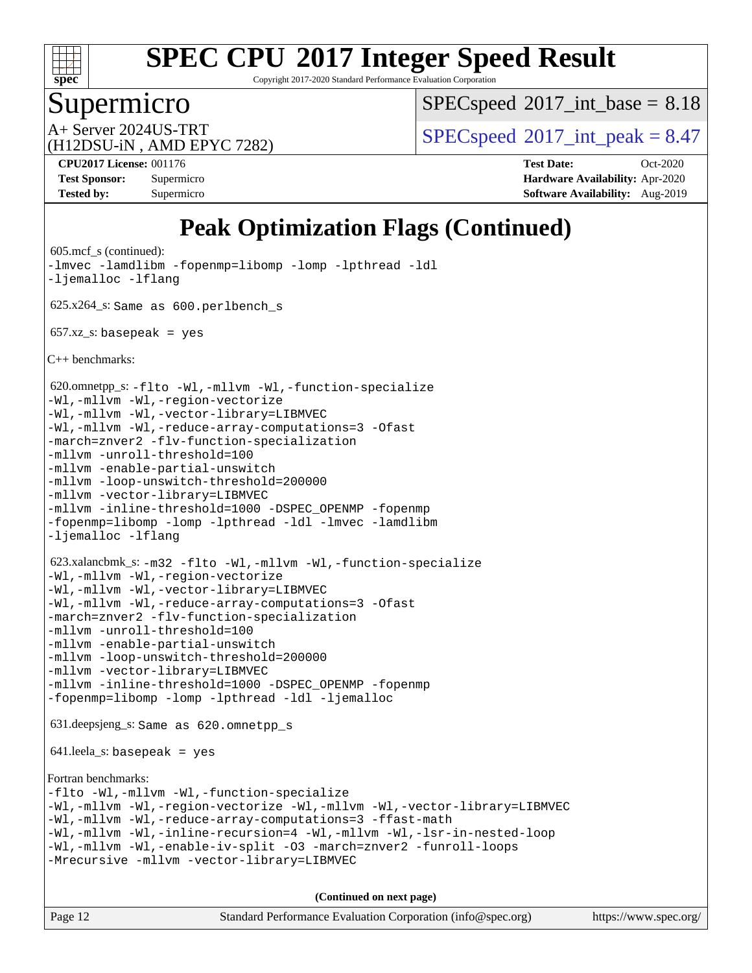

Copyright 2017-2020 Standard Performance Evaluation Corporation

### Supermicro

 $SPECspeed^{\circledcirc}2017\_int\_base = 8.18$  $SPECspeed^{\circledcirc}2017\_int\_base = 8.18$ 

(H12DSU-iN , AMD EPYC 7282)

A+ Server 2024US-TRT  $\begin{array}{|l|l|}\n\hline\n\text{A+Server 2024US-TRT}\n\hline\n\text{A-Server 3024US-TRT}\n\hline\n\end{array}$ 

**[Tested by:](http://www.spec.org/auto/cpu2017/Docs/result-fields.html#Testedby)** Supermicro **[Software Availability:](http://www.spec.org/auto/cpu2017/Docs/result-fields.html#SoftwareAvailability)** Aug-2019

**[CPU2017 License:](http://www.spec.org/auto/cpu2017/Docs/result-fields.html#CPU2017License)** 001176 **[Test Date:](http://www.spec.org/auto/cpu2017/Docs/result-fields.html#TestDate)** Oct-2020 **[Test Sponsor:](http://www.spec.org/auto/cpu2017/Docs/result-fields.html#TestSponsor)** Supermicro **[Hardware Availability:](http://www.spec.org/auto/cpu2017/Docs/result-fields.html#HardwareAvailability)** Apr-2020

### **[Peak Optimization Flags \(Continued\)](http://www.spec.org/auto/cpu2017/Docs/result-fields.html#PeakOptimizationFlags)**

```
(info@spec.org)https://www.spec.org/
 605.mcf_s (continued):
-lmvec -lamdlibm -fopenmp=libomp -lomp -lpthread -ldl
-ljemalloc -lflang
 625.x264_s: Same as 600.perlbench_s
657.xzs: basepeak = yes
C++ benchmarks: 
 620.omnetpp_s: -flto -Wl,-mllvm -Wl,-function-specialize
-Wl,-mllvm -Wl,-region-vectorize
-Wl,-mllvm -Wl,-vector-library=LIBMVEC
-Wl,-mllvm -Wl,-reduce-array-computations=3 -Ofast
-march=znver2 -flv-function-specialization
-mllvm -unroll-threshold=100
-mllvm -enable-partial-unswitch
-mllvm -loop-unswitch-threshold=200000
-mllvm -vector-library=LIBMVEC
-mllvm -inline-threshold=1000 -DSPEC_OPENMP -fopenmp
-fopenmp=libomp -lomp -lpthread -ldl -lmvec -lamdlibm
-ljemalloc -lflang
 623.xalancbmk_s: -m32 -flto -Wl,-mllvm -Wl,-function-specialize
-Wl,-mllvm -Wl,-region-vectorize
-Wl,-mllvm -Wl,-vector-library=LIBMVEC
-Wl,-mllvm -Wl,-reduce-array-computations=3 -Ofast
-march=znver2 -flv-function-specialization
-mllvm -unroll-threshold=100
-mllvm -enable-partial-unswitch
-mllvm -loop-unswitch-threshold=200000
-mllvm -vector-library=LIBMVEC
-mllvm -inline-threshold=1000-fopenmp
-fopenmp=libomp -lomp -lpthread -ldl -ljemalloc
 631.deepsjeng_s: Same as 620.omnetpp_s
 641.leela_s: basepeak = yes
Fortran benchmarks: 
-flto -Wl,-mllvm -Wl,-function-specialize
-Wl,-mllvm -Wl,-region-vectorize -Wl,-mllvm -Wl,-vector-library=LIBMVEC
-Wl,-mllvm -Wl,-reduce-array-computations=3 -ffast-math
-Wl,-mllvm -Wl,-inline-recursion=4 -Wl,-mllvm -Wl,-lsr-in-nested-loop
-Wl,-mllvm -Wl,-enable-iv-split -O3 -march=znver2 -funroll-loops
-Mrecursive -mllvm -vector-library=LIBMVEC
                                    (Continued on next page)
```